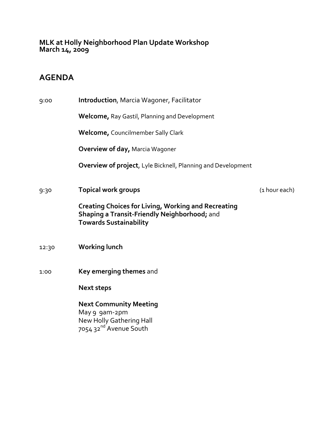**MLK at Holly Neighborhood Plan Update Workshop March 14, <sup>2009</sup>**

## **AGENDA**

| 9:00  | <b>Introduction, Marcia Wagoner, Facilitator</b>                                                                                            |               |
|-------|---------------------------------------------------------------------------------------------------------------------------------------------|---------------|
|       | <b>Welcome, Ray Gastil, Planning and Development</b>                                                                                        |               |
|       | <b>Welcome, Councilmember Sally Clark</b>                                                                                                   |               |
|       | <b>Overview of day, Marcia Wagoner</b>                                                                                                      |               |
|       | Overview of project, Lyle Bicknell, Planning and Development                                                                                |               |
| 9:30  | <b>Topical work groups</b>                                                                                                                  | (1 hour each) |
|       | <b>Creating Choices for Living, Working and Recreating</b><br>Shaping a Transit-Friendly Neighborhood; and<br><b>Towards Sustainability</b> |               |
| 12:30 | <b>Working lunch</b>                                                                                                                        |               |
| 1:00  | Key emerging themes and                                                                                                                     |               |
|       | <b>Next steps</b>                                                                                                                           |               |
|       | <b>Next Community Meeting</b><br>May 9 9am-2pm<br>New Holly Gathering Hall<br>7054 32 <sup>nd</sup> Avenue South                            |               |